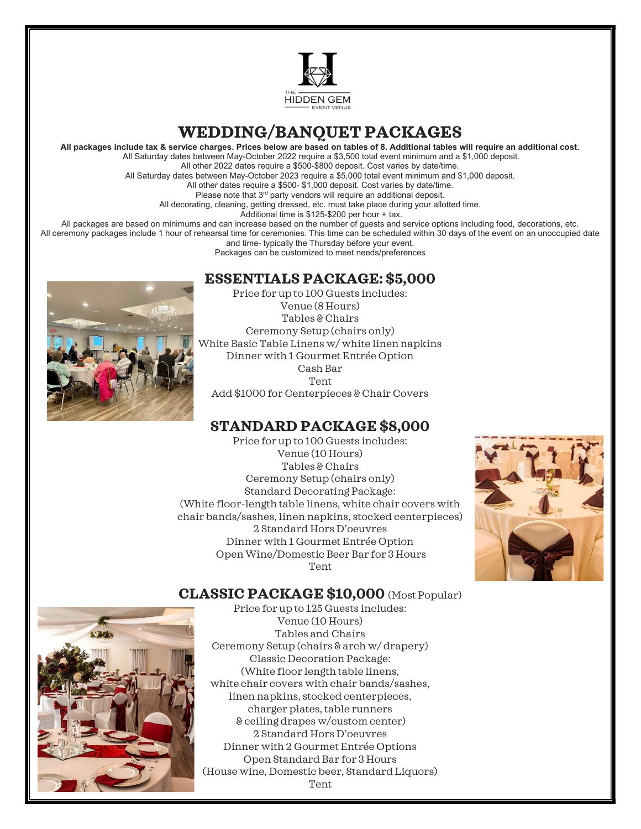

# WEDDING/BANQUET PACKAGES

All packages include tax & service charges. Prices below are based on tables of 8. Additional tables will require an additional cost.

 All Saturday dates between May-October 2022 require a \$3,500 total event minimum and a \$1,000 deposit. All other 2022 dates require a \$500-\$800 deposit. Cost varies by date/time.

All Saturday dates between May-October 2023 require a \$5,000 total event minimum and \$1,000 deposit. All other dates require a \$500- \$1,000 deposit. Cost varies by date/time.

Please note that 3<sup>rd</sup> party vendors will require an additional deposit.

All decorating, cleaning, getting dressed, etc. must take place during your allotted time.

Additional time is \$125-\$200 per hour + tax.

All packages are based on minimums and can increase based on the number of guests and service options including food, decorations, etc.

All ceremony packages include 1 hour of rehearsal time for ceremonies. This time can be scheduled within 30 days of the event on an unoccupied date and time- typically the Thursday before your event.

Packages can be customized to meet needs/preferences

#### ESSENTIALS PACKAGE: \$5,000



Price for up to 100 Guests includes: Venue (8 Hours) Tables & Chairs Ceremony Setup (chairs only) White Basic Table Linens w/ white linen napkins Dinner with 1 Gourmet Entrée Option Cash Bar Tent Add \$1000 for Centerpieces & Chair Covers

### STANDARD PACKAGE \$8,000

 Price for up to 100 Guests includes: Venue (10 Hours) Tables & Chairs Ceremony Setup (chairs only) Standard Decorating Package: (White floor-length table linens, white chair covers with chair bands/sashes, linen napkins, stocked centerpieces) 2 Standard Hors D'oeuvres Dinner with 1 Gourmet Entrée Option Open Wine/Domestic Beer Bar for 3 Hours Tent



#### CLASSIC PACKAGE \$10,000 (Most Popular)



Price for up to 125 Guests includes: Venue (10 Hours) Tables and Chairs Ceremony Setup (chairs & arch w/ drapery) Classic Decoration Package: (White floor length table linens, white chair covers with chair bands/sashes, linen napkins, stocked centerpieces, charger plates, table runners & ceiling drapes w/custom center) 2 Standard Hors D'oeuvres Dinner with 2 Gourmet Entrée Options Open Standard Bar for 3 Hours (House wine, Domestic beer, Standard Liquors) Tent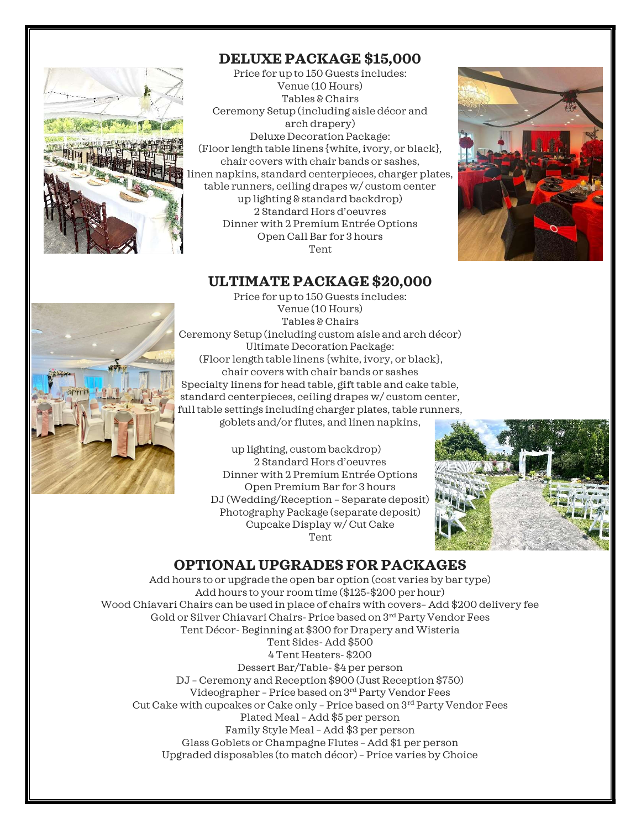

#### DELUXE PACKAGE \$15,000

Price for up to 150 Guests includes: Venue (10 Hours) Tables & Chairs Ceremony Setup (including aisle décor and arch drapery) Deluxe Decoration Package: (Floor length table linens {white, ivory, or black}, chair covers with chair bands or sashes, linen napkins, standard centerpieces, charger plates, table runners, ceiling drapes w/ custom center up lighting & standard backdrop) 2 Standard Hors d'oeuvres Dinner with 2 Premium Entrée Options Open Call Bar for 3 hours Tent



#### ULTIMATE PACKAGE \$20,000



Price for up to 150 Guests includes: Venue (10 Hours) Tables & Chairs Ceremony Setup (including custom aisle and arch décor) Ultimate Decoration Package: (Floor length table linens {white, ivory, or black}, chair covers with chair bands or sashes Specialty linens for head table, gift table and cake table, standard centerpieces, ceiling drapes w/ custom center, full table settings including charger plates, table runners, goblets and/or flutes, and linen napkins,

> up lighting, custom backdrop) 2 Standard Hors d'oeuvres Dinner with 2 Premium Entrée Options Open Premium Bar for 3 hours DJ (Wedding/Reception – Separate deposit) Photography Package (separate deposit) Cupcake Display w/ Cut Cake Tent



## OPTIONAL UPGRADES FOR PACKAGES

Add hours to or upgrade the open bar option (cost varies by bar type) Add hours to your room time (\$125-\$200 per hour) Wood Chiavari Chairs can be used in place of chairs with covers– Add \$200 delivery fee Gold or Silver Chiavari Chairs- Price based on 3rd Party Vendor Fees Tent Décor- Beginning at \$300 for Drapery and Wisteria Tent Sides- Add \$500 4 Tent Heaters- \$200 Dessert Bar/Table- \$4 per person DJ – Ceremony and Reception \$900 (Just Reception \$750) Videographer – Price based on 3rd Party Vendor Fees Cut Cake with cupcakes or Cake only – Price based on 3rd Party Vendor Fees Plated Meal – Add \$5 per person Family Style Meal – Add \$3 per person Glass Goblets or Champagne Flutes – Add \$1 per person Upgraded disposables (to match décor) – Price varies by Choice